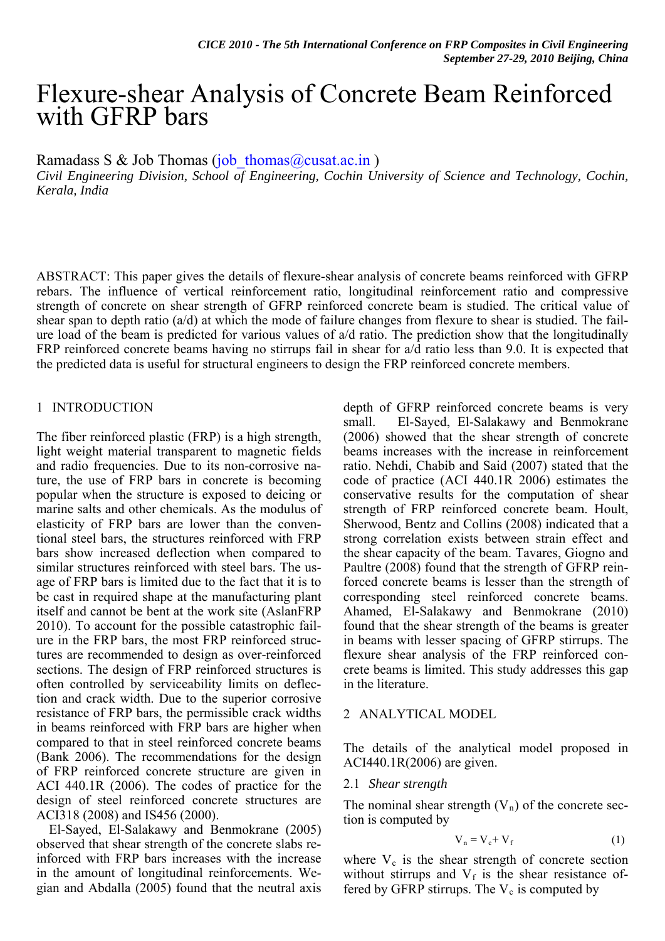# Flexure-shear Analysis of Concrete Beam Reinforced with GFRP bars

Ramadass S & Job Thomas (job thomas  $@c$ usat.ac.in )

*Civil Engineering Division, School of Engineering, Cochin University of Science and Technology, Cochin, Kerala, India* 

ABSTRACT: This paper gives the details of flexure-shear analysis of concrete beams reinforced with GFRP rebars. The influence of vertical reinforcement ratio, longitudinal reinforcement ratio and compressive strength of concrete on shear strength of GFRP reinforced concrete beam is studied. The critical value of shear span to depth ratio (a/d) at which the mode of failure changes from flexure to shear is studied. The failure load of the beam is predicted for various values of a/d ratio. The prediction show that the longitudinally FRP reinforced concrete beams having no stirrups fail in shear for a/d ratio less than 9.0. It is expected that the predicted data is useful for structural engineers to design the FRP reinforced concrete members.

## 1 INTRODUCTION

The fiber reinforced plastic (FRP) is a high strength, light weight material transparent to magnetic fields and radio frequencies. Due to its non-corrosive nature, the use of FRP bars in concrete is becoming popular when the structure is exposed to deicing or marine salts and other chemicals. As the modulus of elasticity of FRP bars are lower than the conventional steel bars, the structures reinforced with FRP bars show increased deflection when compared to similar structures reinforced with steel bars. The usage of FRP bars is limited due to the fact that it is to be cast in required shape at the manufacturing plant itself and cannot be bent at the work site (AslanFRP 2010). To account for the possible catastrophic failure in the FRP bars, the most FRP reinforced structures are recommended to design as over-reinforced sections. The design of FRP reinforced structures is often controlled by serviceability limits on deflection and crack width. Due to the superior corrosive resistance of FRP bars, the permissible crack widths in beams reinforced with FRP bars are higher when compared to that in steel reinforced concrete beams (Bank 2006). The recommendations for the design of FRP reinforced concrete structure are given in ACI 440.1R (2006). The codes of practice for the design of steel reinforced concrete structures are ACI318 (2008) and IS456 (2000).

El-Sayed, El-Salakawy and Benmokrane (2005) observed that shear strength of the concrete slabs reinforced with FRP bars increases with the increase in the amount of longitudinal reinforcements. Wegian and Abdalla (2005) found that the neutral axis

depth of GFRP reinforced concrete beams is very small. El-Sayed, El-Salakawy and Benmokrane (2006) showed that the shear strength of concrete beams increases with the increase in reinforcement ratio. Nehdi, Chabib and Said (2007) stated that the code of practice (ACI 440.1R 2006) estimates the conservative results for the computation of shear strength of FRP reinforced concrete beam. Hoult, Sherwood, Bentz and Collins (2008) indicated that a strong correlation exists between strain effect and the shear capacity of the beam. Tavares, Giogno and Paultre (2008) found that the strength of GFRP reinforced concrete beams is lesser than the strength of corresponding steel reinforced concrete beams. Ahamed, El-Salakawy and Benmokrane (2010) found that the shear strength of the beams is greater in beams with lesser spacing of GFRP stirrups. The flexure shear analysis of the FRP reinforced concrete beams is limited. This study addresses this gap in the literature.

## 2 ANALYTICAL MODEL

The details of the analytical model proposed in ACI440.1R(2006) are given.

### 2.1 *Shear strength*

The nominal shear strength  $(V_n)$  of the concrete section is computed by

$$
V_n = V_c + V_f \tag{1}
$$

where  $V_c$  is the shear strength of concrete section without stirrups and  $V_f$  is the shear resistance offered by GFRP stirrups. The  $V_c$  is computed by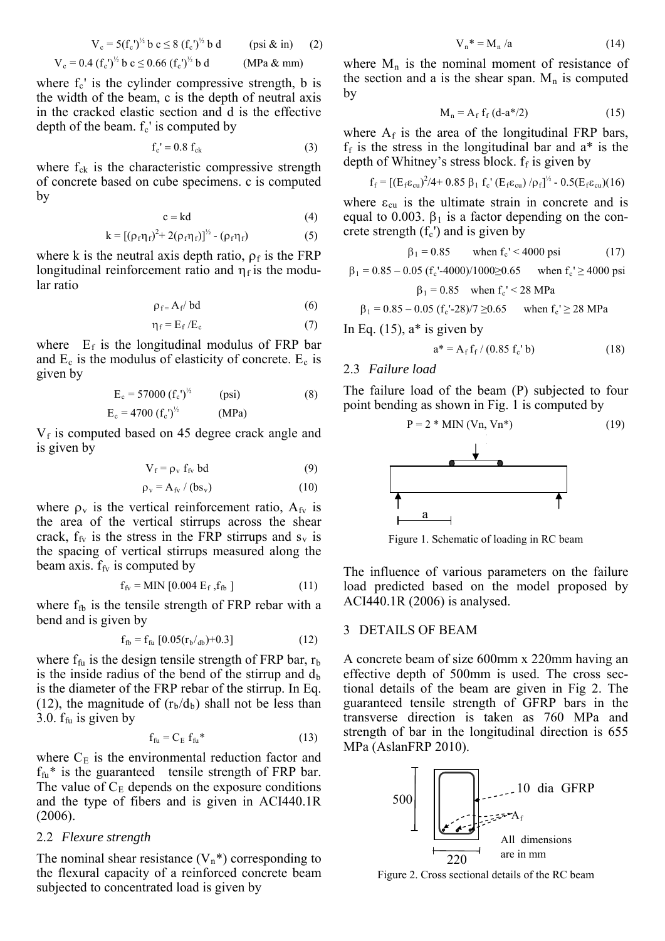$$
V_c = 5(f_c')^{1/2} b c \le 8 (f_c')^{1/2} b d \t\t(psi & in) \t(2)
$$
  

$$
V_c = 0.4 (f_c')^{1/2} b c \le 0.66 (f_c')^{1/2} b d \t\t(MPa & m)
$$

where  $f_c$  is the cylinder compressive strength, b is the width of the beam, c is the depth of neutral axis in the cracked elastic section and d is the effective depth of the beam.  $f_c$ ' is computed by

$$
f_c' = 0.8 f_{ck} \tag{3}
$$

where  $f_{ck}$  is the characteristic compressive strength of concrete based on cube specimens. c is computed by

$$
c = kd \tag{4}
$$

$$
k = [(\rho_f \eta_f)^2 + 2(\rho_f \eta_f)]^{1/2} - (\rho_f \eta_f)
$$
 (5)

where k is the neutral axis depth ratio,  $\rho_f$  is the FRP longitudinal reinforcement ratio and  $\eta_f$  is the modular ratio

$$
\rho_f = A_f / bd \tag{6}
$$

$$
\eta_{\rm f} = E_{\rm f}/E_{\rm c} \tag{7}
$$

where  $E_f$  is the longitudinal modulus of FRP bar and  $E_c$  is the modulus of elasticity of concrete.  $E_c$  is given by

$$
E_c = 57000 (f_c')^{1/2} \t (psi) \t (8)
$$

$$
E_c = 4700 (f_c')^{1/2}
$$
 (MPa)

 $V_f$  is computed based on 45 degree crack angle and is given by

$$
V_f = \rho_v f_{fv} bd \tag{9}
$$

$$
\rho_{\rm v} = A_{\rm fv} / (bs_{\rm v}) \tag{10}
$$

where  $\rho_v$  is the vertical reinforcement ratio,  $A_{fv}$  is the area of the vertical stirrups across the shear crack,  $f_{f_v}$  is the stress in the FRP stirrups and  $s_v$  is the spacing of vertical stirrups measured along the beam axis.  $f_{f<sub>V</sub>}$  is computed by

$$
f_{fv} = MIN [0.004 E_f, f_{fb}]
$$
 (11)

where  $f_{\text{fb}}$  is the tensile strength of FRP rebar with a bend and is given by

$$
f_{\text{fb}} = f_{\text{fu}} [0.05(r_{\text{b}}/_{\text{db}}) + 0.3] \tag{12}
$$

where  $f_{fu}$  is the design tensile strength of FRP bar,  $r_b$ is the inside radius of the bend of the stirrup and  $d_b$ is the diameter of the FRP rebar of the stirrup. In Eq. (12), the magnitude of  $(r_b/d_b)$  shall not be less than 3.0.  $f_{fu}$  is given by

$$
f_{\rm fu} = C_{\rm E} f_{\rm fu}^* \tag{13}
$$

where  $C_E$  is the environmental reduction factor and MPa (AslanFRP 2010).  $f_{fu}$ <sup>\*</sup> is the guaranteed tensile strength of FRP bar. The value of  $C_E$  depends on the exposure conditions and the type of fibers and is given in ACI440.1R (2006).

#### 2.2 *Flexure strength*

The nominal shear resistance  $(V_n^*)$  corresponding to the flexural capacity of a reinforced concrete beam subjected to concentrated load is given by

$$
V_n^* = M_n / a \tag{14}
$$

the section and a is the shear span.  $M_n$  is computed where  $M_n$  is the nominal moment of resistance of by

$$
M_n = A_f f_f (d-a*/2)
$$
 (15)

 $f_f$  is the stress in the longitudinal bar and  $a^*$  is the depth of Whitney's stress block. f<sub>f</sub> is given by where  $A_f$  is the area of the longitudinal FRP bars,

$$
f_f = [(E_f \varepsilon_{cu})^2/4 + 0.85 \beta_1 f_c'(E_f \varepsilon_{cu})/\rho_f]^{1/2} - 0.5(E_f \varepsilon_{cu})(16)
$$

equal to 0.003.  $\beta_1$  is a factor depending on the conwhere  $\varepsilon_{\rm cu}$  is the ultimate strain in concrete and is crete strength  $(f_c)$  and is given by

$$
\beta_1 = 0.85 \qquad \text{when } f_c' < 4000 \text{ psi} \tag{17}
$$

$$
\beta_1 = 0.85 - 0.05 \ (f_c' - 4000) / 1000 \ge 0.65 \quad \text{when } f_c' \ge 4000 \text{ psi}
$$

$$
\beta_1 = 0.85 \quad \text{when } f_c' < 28 \text{ MPa}
$$

$$
\beta_1 = 0.85 - 0.05
$$
 (f<sub>c</sub>'-28)/7  $\geq 0.65$  when f<sub>c</sub>'  $\geq 28$  MPa

In Eq.  $(15)$ ,  $a^*$  is given by

$$
a^* = A_f f_f / (0.85 f_c' b)
$$
 (18)

### 2.3 *Failure load*

The failure load of the beam  $(P)$  subjected to four point bending as shown in Fig. 1 is computed by



Figure 1. Schematic of loading in RC beam

load predicted based on the model proposed by ACI440.1R (2006) is analysed. The influence of various parameters on the failure

#### DETAILS OF BEAM 3

strength of bar in the longitudinal direction is 655 A concrete beam of size 600mm x 220mm having an effective depth of 500mm is used. The cross sectional details of the beam are given in Fig 2. The guaranteed tensile strength of GFRP bars in the transverse direction is taken as 760 MPa and



Figure 2. Cross sectional details of the RC beam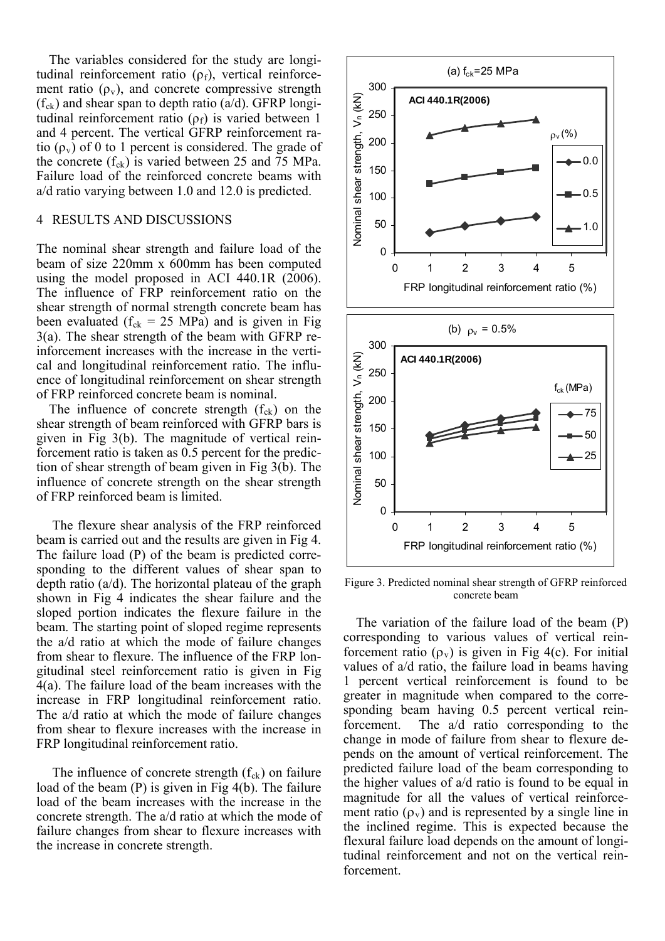The variables considered for the study are longitudinal reinforcement ratio  $(\rho_f)$ , vertical reinforcement ratio  $(\rho_v)$ , and concrete compressive strength  $(f_{ck})$  and shear span to depth ratio (a/d). GFRP longitudinal reinforcement ratio  $(\rho_f)$  is varied between 1 and 4 percent. The vertical GFRP reinforcement ratio  $(\rho_v)$  of 0 to 1 percent is considered. The grade of the concrete  $(f_{ck})$  is varied between 25 and 75 MPa. Failure load of the reinforced concrete beams with a/d ratio varying between 1.0 and 12.0 is predicted.

#### 4 ESULTS AND DISCUSSIONS R

ence of longitudinal reinforcement on shear strength of FRP reinforced concrete beam is nominal. The nominal shear strength and failure load of the beam of size 220mm x 600mm has been computed using the model proposed in ACI 440.1R (2006). The influence of FRP reinforcement ratio on the shear strength of normal strength concrete beam has been evaluated ( $f_{ck} = 25 \text{ MPa}$ ) and is given in Fig 3(a). The shear strength of the beam with GFRP reinforcement increases with the increase in the vertical and longitudinal reinforcement ratio. The influ-

influence of concrete strength on the shear strength of FRP reinforced beam is limited. The influence of concrete strength  $(f_{ck})$  on the shear strength of beam reinforced with GFRP bars is given in Fig 3(b). The magnitude of vertical reinforcement ratio is taken as 0.5 percent for the prediction of shear strength of beam given in Fig 3(b). The

from shear to flexure increases with the increase in FRP longitudinal reinforcement ratio. The flexure shear analysis of the FRP reinforced beam is carried out and the results are given in Fig 4. The failure load (P) of the beam is predicted corresponding to the different values of shear span to depth ratio  $(a/d)$ . The horizontal plateau of the graph shown in Fig 4 indicates the shear failure and the sloped portion indicates the flexure failure in the beam. The starting point of sloped regime represents the a/d ratio at which the mode of failure changes from shear to flexure. The influence of the FRP longitudinal steel reinforcement ratio is given in Fig 4(a). The failure load of the beam increases with the increase in FRP longitudinal reinforcement ratio. The a/d ratio at which the mode of failure changes

failure changes from shear to flexure increases with the increase in concrete strength. The influence of concrete strength  $(f_{ck})$  on failure load of the beam (P) is given in Fig 4(b). The failure load of the beam increases with the increase in the concrete strength. The a/d ratio at which the mode of



Figure 3. Predicted nominal shear strength of GFRP reinforced concrete beam

tudinal reinforcement and not on the vertical reinforcement. The variation of the failure load of the beam (P) corresponding to various values of vertical reinforcement ratio  $(\rho_v)$  is given in Fig 4(c). For initial values of a/d ratio, the failure load in beams having 1 percent vertical reinforcement is found to be greater in magnitude when compared to the corresponding beam having 0.5 percent vertical reinforcement. The a/d ratio corresponding to the change in mode of failure from shear to flexure depends on the amount of vertical reinforcement. The predicted failure load of the beam corresponding to the higher values of a/d ratio is found to be equal in magnitude for all the values of vertical reinforcement ratio  $(\rho_v)$  and is represented by a single line in the inclined regime. This is expected because the flexural failure load depends on the amount of longi-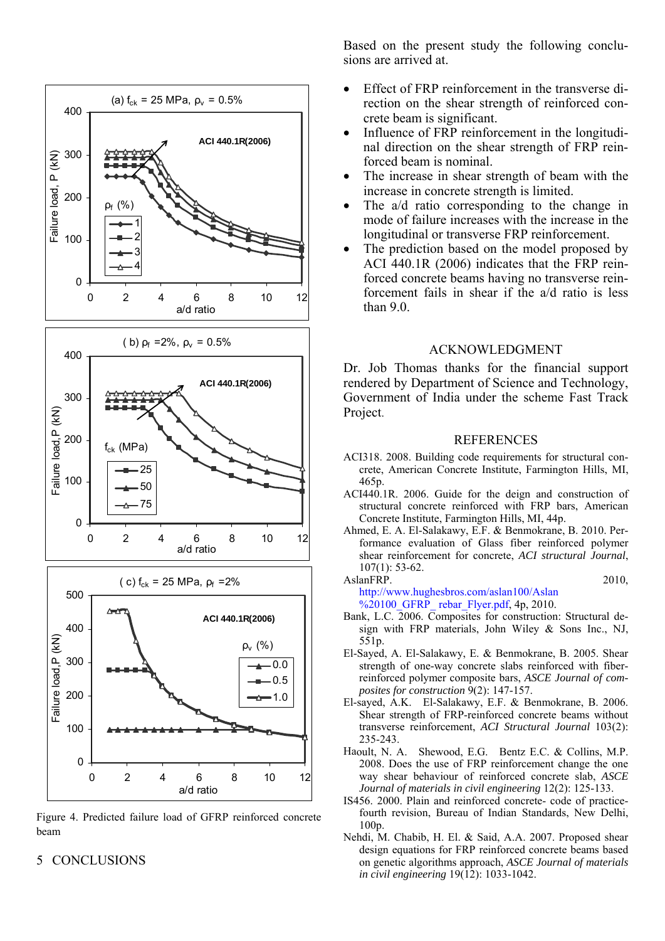

Figure 4. Predicted failure load of GFRP reinforced concrete beam

### 5 ONCLUSIONS C

Based on the present study the following conclusions are arrived at.

- Effect of FRP reinforcement in the transverse di rection on the shear strength of reinforced concrete beam is significant.
- Influence of FRP reinforcement in the longitudinal direction on the shear strength of FRP reinforced beam is nominal.
- The increase in shear strength of beam with the increase in concrete strength is limited.
- $\bullet$  The a/d ratio corresponding to the change in mode of failure increases with the increase in the longitudinal or transverse FRP reinforcement.
- forced concrete beams having no transverse reinforcement fails in shear if the  $a/d$  ratio is less than 9.0. The prediction based on the model proposed by ACI 440.1R (2006) indicates that the FRP rein-

### ACKNOWLEDGMENT

rendered by Department of Science and Technology, Government of India under the scheme Fast Track Project. Dr. Job Thomas thanks for the financial support

#### REFERENCES

- ACI318. 2008. Building code requirements for structural concrete, American Concrete Institute, Farmington Hills, MI, 465p.
- ACI440.1R. 2006. Guide for the deign and construction of structural concrete reinforced with FRP bars, American Concrete Institute, Farmington Hills, MI, 44p.
- Ah med, E. A. El-Salakawy, E.F. & Benmokrane, B. 2010. Performance evaluation of Glass fiber reinforced polymer shear reinforcement for concrete, *ACI structural Journal*, 107(1): 53-62.

AslanFRP. 2010, http://www.hughesbros.com/aslan100/Aslan %20100 GFRP rebar Flyer.pdf, 4p, 2010.

- Bank, L.C. 2006. Composites for construction: Structural design with FRP materials, John Wiley & Sons Inc., NJ, 551p.
- El-Sayed, A. El-Salakawy, E. & Benmokrane, B. 2005. Shear strength of one-way concrete slabs reinforced with fiberreinforced polymer composite bars, *ASCE Journal of composites for construction* 9(2): 147-157.
- El-sayed, A.K. El-Salakawy, E.F. & Benmokrane, B. 2006. Shear strength of FRP-reinforced concrete beams without transverse reinforcement, *ACI Structural Journal* 103(2): 235-243.
- Haoult, N. A. Shewood, E.G. Bentz E.C. & Collins, M.P. 2008. Does the use of FRP reinforcement change the one way shear behaviour of reinforced concrete slab, *ASCE Journal of materials in civil engineering* 12(2): 125-133.
- IS456. 2000. Plain and reinforced concrete- code of practicefourth revision, Bureau of Indian Standards, New Delhi, 100p.
- Ne hdi, M. Chabib, H. El. & Said, A.A. 2007. Proposed shear design equations for FRP reinforced concrete beams based on genetic algorithms approach, *ASCE Journal of materials in civil engineering* 19(12): 1033-1042.